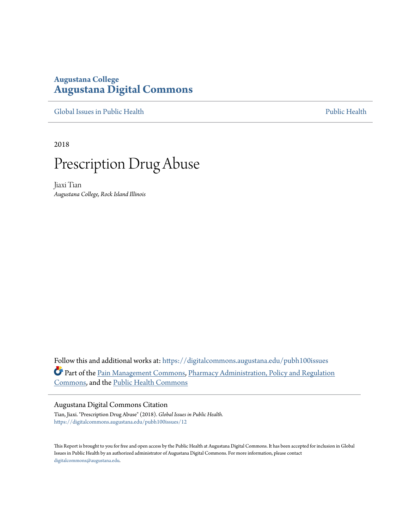# **Augustana College [Augustana Digital Commons](https://digitalcommons.augustana.edu?utm_source=digitalcommons.augustana.edu%2Fpubh100issues%2F12&utm_medium=PDF&utm_campaign=PDFCoverPages)**

[Global Issues in Public Health](https://digitalcommons.augustana.edu/pubh100issues?utm_source=digitalcommons.augustana.edu%2Fpubh100issues%2F12&utm_medium=PDF&utm_campaign=PDFCoverPages) [Public Health](https://digitalcommons.augustana.edu/publichealth?utm_source=digitalcommons.augustana.edu%2Fpubh100issues%2F12&utm_medium=PDF&utm_campaign=PDFCoverPages) Public Health Public Health Public Health

2018



Jiaxi Tian *Augustana College, Rock Island Illinois*

Follow this and additional works at: [https://digitalcommons.augustana.edu/pubh100issues](https://digitalcommons.augustana.edu/pubh100issues?utm_source=digitalcommons.augustana.edu%2Fpubh100issues%2F12&utm_medium=PDF&utm_campaign=PDFCoverPages) Part of the [Pain Management Commons](http://network.bepress.com/hgg/discipline/1274?utm_source=digitalcommons.augustana.edu%2Fpubh100issues%2F12&utm_medium=PDF&utm_campaign=PDFCoverPages), [Pharmacy Administration, Policy and Regulation](http://network.bepress.com/hgg/discipline/732?utm_source=digitalcommons.augustana.edu%2Fpubh100issues%2F12&utm_medium=PDF&utm_campaign=PDFCoverPages) [Commons,](http://network.bepress.com/hgg/discipline/732?utm_source=digitalcommons.augustana.edu%2Fpubh100issues%2F12&utm_medium=PDF&utm_campaign=PDFCoverPages) and the [Public Health Commons](http://network.bepress.com/hgg/discipline/738?utm_source=digitalcommons.augustana.edu%2Fpubh100issues%2F12&utm_medium=PDF&utm_campaign=PDFCoverPages)

#### Augustana Digital Commons Citation

Tian, Jiaxi. "Prescription Drug Abuse" (2018). *Global Issues in Public Health.* [https://digitalcommons.augustana.edu/pubh100issues/12](https://digitalcommons.augustana.edu/pubh100issues/12?utm_source=digitalcommons.augustana.edu%2Fpubh100issues%2F12&utm_medium=PDF&utm_campaign=PDFCoverPages)

This Report is brought to you for free and open access by the Public Health at Augustana Digital Commons. It has been accepted for inclusion in Global Issues in Public Health by an authorized administrator of Augustana Digital Commons. For more information, please contact [digitalcommons@augustana.edu.](mailto:digitalcommons@augustana.edu)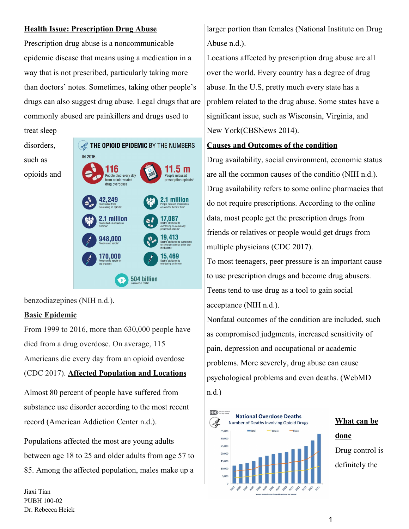### **Health Issue: Prescription Drug Abuse**

Prescription drug abuse is a noncommunicable epidemic disease that means using a medication in a way that is not prescribed, particularly taking more than doctors' notes. Sometimes, taking other people's drugs can also suggest drug abuse. Legal drugs that are commonly abused are painkillers and drugs used to

treat sleep disorders, such as opioids and



benzodiazepines (NIH n.d.).

## **Basic Epidemic**

From 1999 to 2016, more than 630,000 people have died from a drug overdose. On average, 115 Americans die every day from an opioid overdose (CDC 2017). **Affected Population and Locations**

Almost 80 percent of people have suffered from substance use disorder according to the most recent record (American Addiction Center n.d.).

Populations affected the most are young adults between age 18 to 25 and older adults from age 57 to 85. Among the affected population, males make up a

Jiaxi Tian PUBH 100-02 Dr. Rebecca Heick larger portion than females (National Institute on Drug Abuse n.d.).

Locations affected by prescription drug abuse are all over the world. Every country has a degree of drug abuse. In the U.S, pretty much every state has a problem related to the drug abuse. Some states have a significant issue, such as Wisconsin, Virginia, and New York(CBSNews 2014).

### **Causes and Outcomes of the condition**

Drug availability, social environment, economic status are all the common causes of the conditio (NIH n.d.). Drug availability refers to some online pharmacies that do not require prescriptions. According to the online data, most people get the prescription drugs from friends or relatives or people would get drugs from multiple physicians (CDC 2017).

To most teenagers, peer pressure is an important cause to use prescription drugs and become drug abusers. Teens tend to use drug as a tool to gain social acceptance (NIH n.d.).

Nonfatal outcomes of the condition are included, such as compromised judgments, increased sensitivity of pain, depression and occupational or academic problems. More severely, drug abuse can cause psychological problems and even deaths. (WebMD n.d.)



**What can be done** Drug control is definitely the